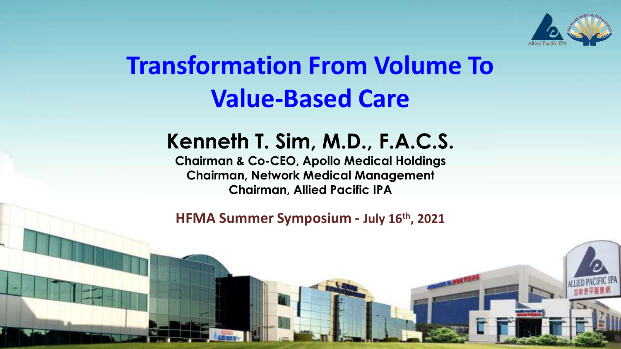

### **Transformation From Volume To Value-Based Care**

#### **Kenneth T. Sim, M.D., F.A.C.S.**

**Chairman & Co-CEO, Apollo Medical Holdings Chairman, Network Medical Management Chairman, Allied Pacific IPA**

November 18th, 2020 **HFMA Summer Symposium - July 16th, 2021**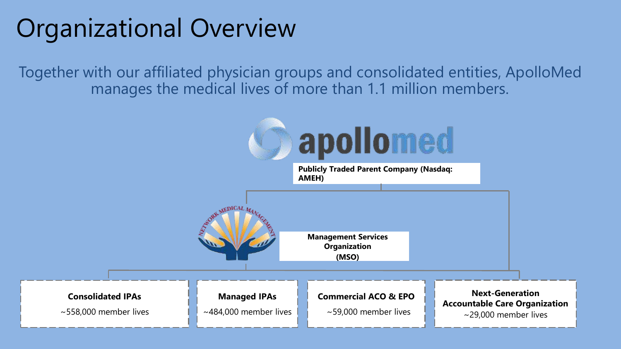### Organizational Overview

Together with our affiliated physician groups and consolidated entities, ApolloMed manages the medical lives of more than 1.1 million members.

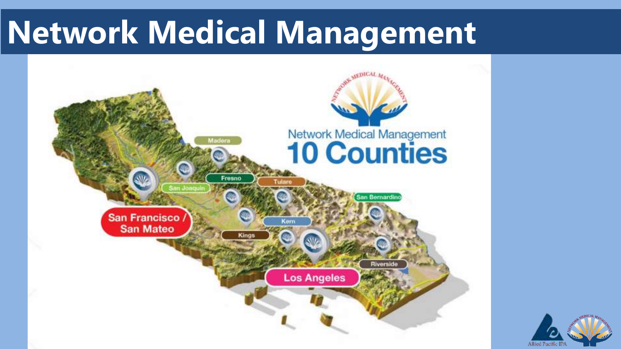# **Network Medical Management**



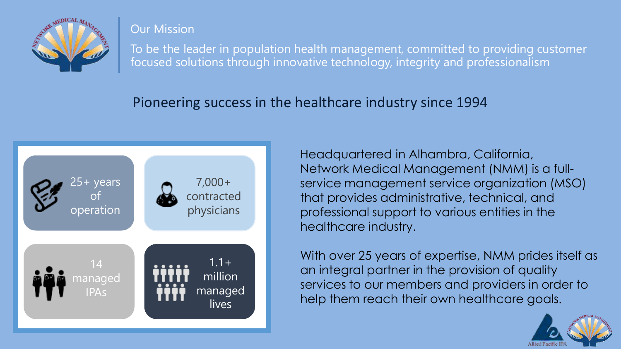

#### Our Mission

To be the leader in population health management, committed to providing customer focused solutions through innovative technology, integrity and professionalism

#### Pioneering success in the healthcare industry since 1994



Headquartered in Alhambra, California, Network Medical Management (NMM) is a fullservice management service organization (MSO) that provides administrative, technical, and professional support to various entities in the healthcare industry.

With over 25 years of expertise, NMM prides itself as an integral partner in the provision of quality services to our members and providers in order to help them reach their own healthcare goals.

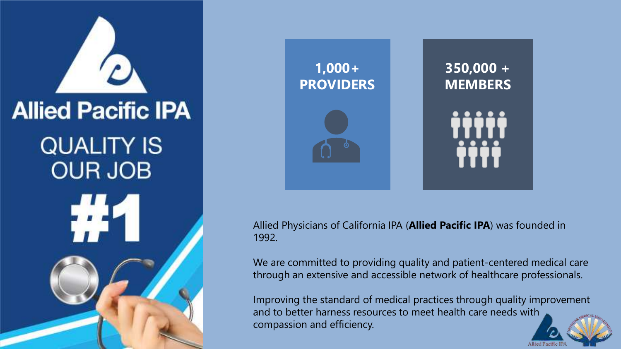



Allied Physicians of California IPA (**Allied Pacific IPA**) was founded in 1992.

We are committed to providing quality and patient-centered medical care through an extensive and accessible network of healthcare professionals.

Improving the standard of medical practices through quality improvement and to better harness resources to meet health care needs with compassion and efficiency.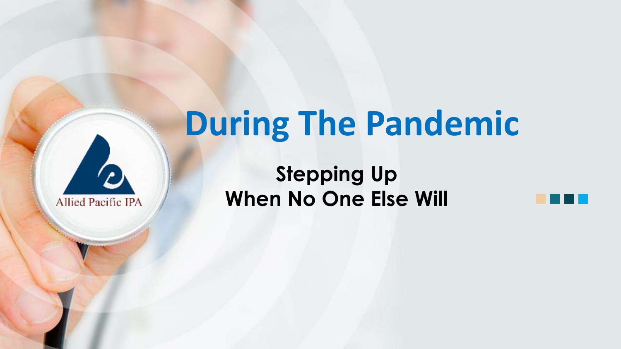# **During The Pandemic**



**Stepping Up When No One Else Will**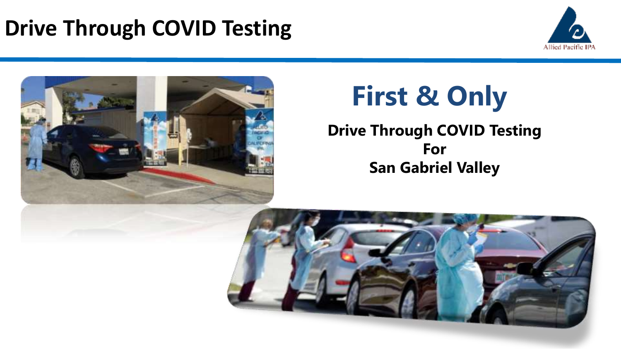### **Drive Through COVID Testing**





# **First & Only**

**Drive Through COVID Testing For San Gabriel Valley**

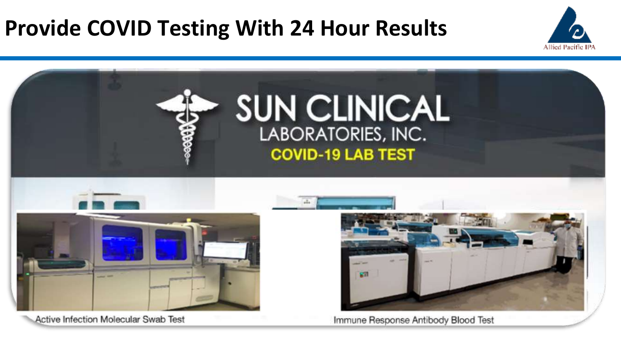### **Provide COVID Testing With 24 Hour Results**





Active Infection Molecular Swab Test

Immune Response Antibody Blood Test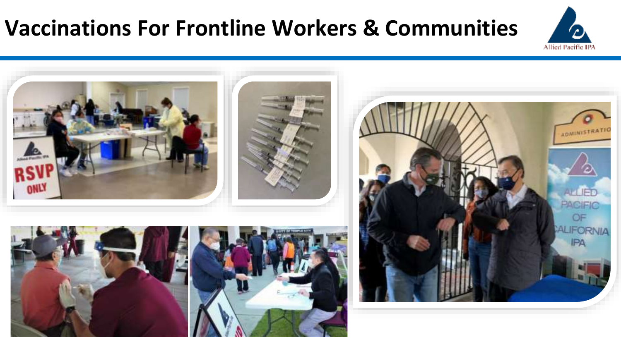#### **Vaccinations For Frontline Workers & Communities**



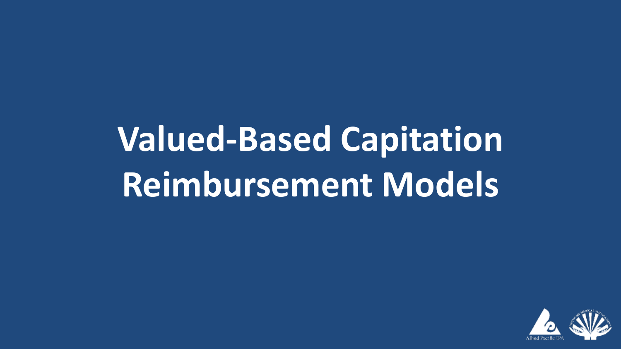# **Valued-Based Capitation Reimbursement Models**

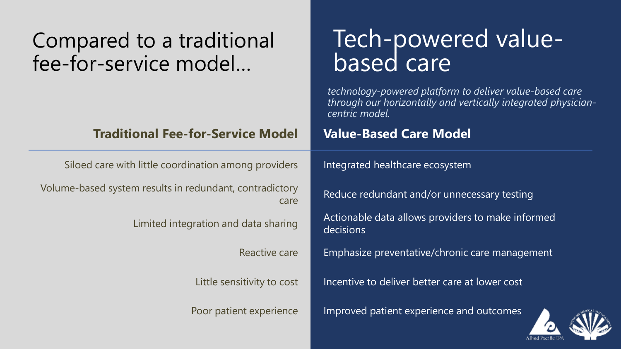| Compared to a traditional<br>fee-for-service model              | Tech-powered value-<br>based care                                                                                                          |
|-----------------------------------------------------------------|--------------------------------------------------------------------------------------------------------------------------------------------|
|                                                                 | technology-powered platform to deliver value-based care<br>through our horizontally and vertically integrated physician-<br>centric model. |
| <b>Traditional Fee-for-Service Model</b>                        | <b>Value-Based Care Model</b>                                                                                                              |
| Siloed care with little coordination among providers            | Integrated healthcare ecosystem                                                                                                            |
| Volume-based system results in redundant, contradictory<br>care | Reduce redundant and/or unnecessary testing                                                                                                |
| Limited integration and data sharing                            | Actionable data allows providers to make informed<br>decisions                                                                             |
| Reactive care                                                   | Emphasize preventative/chronic care management                                                                                             |
| Little sensitivity to cost                                      | Incentive to deliver better care at lower cost                                                                                             |
| Poor patient experience                                         | Improved patient experience and outcomes                                                                                                   |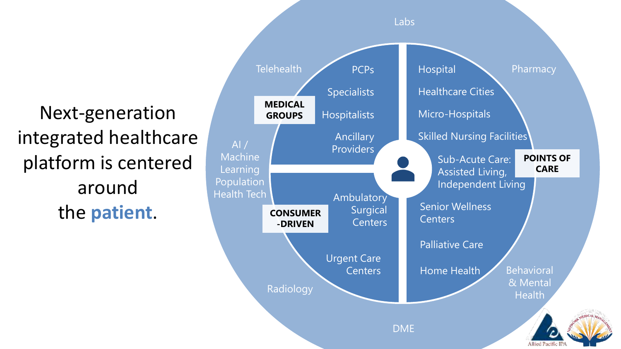Next-generation integrated healthcare platform is centered around the **patient**.

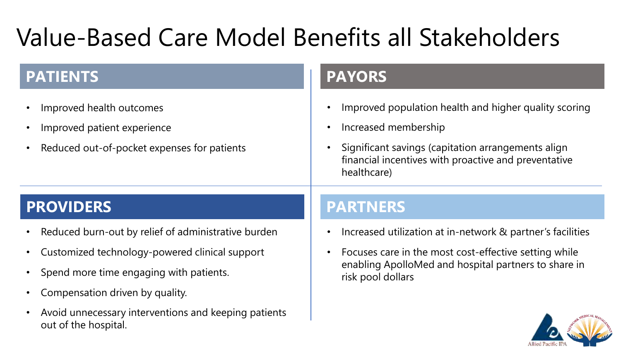## Value-Based Care Model Benefits all Stakeholders

| <b>PATIENTS</b> |
|-----------------|
|-----------------|

- Improved health outcomes
- Improved patient experience
- Reduced out-of-pocket expenses for patients

#### **PATIENTS PAYORS**

- Improved population health and higher quality scoring
- Increased membership
- Significant savings (capitation arrangements align financial incentives with proactive and preventative healthcare)

#### **PROVIDERS PARTNERS**

- Reduced burn-out by relief of administrative burden
- Customized technology-powered clinical support
- Spend more time engaging with patients.
- Compensation driven by quality.
- Avoid unnecessary interventions and keeping patients out of the hospital.

- Increased utilization at in-network & partner's facilities
- Focuses care in the most cost-effective setting while enabling ApolloMed and hospital partners to share in risk pool dollars